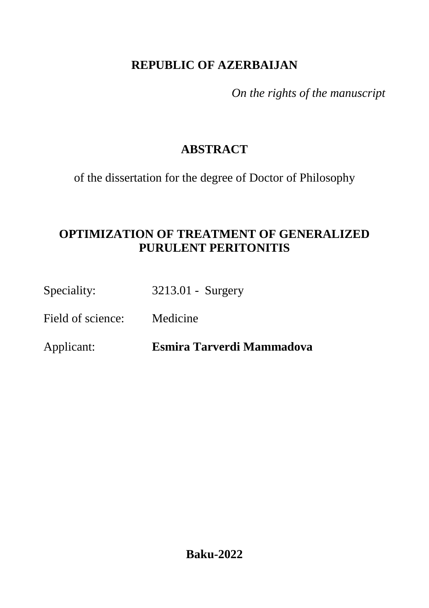# **REPUBLIC OF AZERBAIJAN**

*On the rights of the manuscript*

# **ABSTRACT**

of the dissertation for the degree of Doctor of Philosophy

# **OPTIMIZATION OF TREATMENT OF GENERALIZED PURULENT PERITONITIS**

Speciality: 3213.01 - Surgery

Field of science: Medicine

Applicant: **Esmira Tarverdi Mammadova**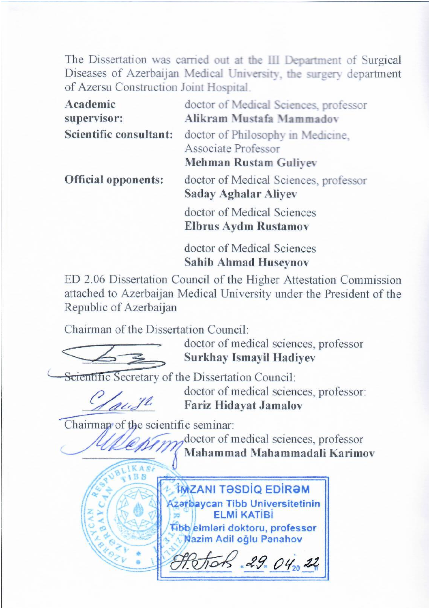The Dissertation was carried out at the III Department of Surgical Diseases of Azerbaijan Medical University, the surgery department of Azersu Construction Joint Hospital.

| Academic<br>supervisor:    | doctor of Medical Sciences, professor<br>Alikram Mustafa Mammadov                        |  |
|----------------------------|------------------------------------------------------------------------------------------|--|
| Scientific consultant:     | doctor of Philosophy in Medicine,<br>Associate Professor<br><b>Mehman Rustam Guliyev</b> |  |
| <b>Official opponents:</b> | doctor of Medical Sciences, professor<br><b>Saday Aghalar Aliyev</b>                     |  |
|                            | doctor of Medical Sciences<br><b>Elbrus Aydın Rustamov</b>                               |  |
|                            | doctor of Medical Sciences                                                               |  |

**Sahib Ahmad Huseynov**

ED 2.06 Dissertation Council of the Higher Attestation Commission attached to Azerbaijan Medical University under the President of the Republic of Azerbaijan

Chairman of the Dissertation Council:



 $\bigcup$  when

doctor of medical sciences, professor **Surkhay Ismayil Hadiyev**

Scientific Secretary of the Dissertation Council:

 $\frac{1}{2}$ 

doctor of medical sciences, professor: **Fariz Hidayat Jamalov**

Chairman of the scientific seminar:

doctor of medical sciences, professor **Mahammad Mahammadali Karimov**

**IMZANI TƏSDİQ EDİRƏM** Azafbaycan Tibb Universitetinin **FI Mİ KATİRİ** Tibb elmləri doktoru, professor **Nazim Adil oğlu Panahov** 

 $29.04.22$ 2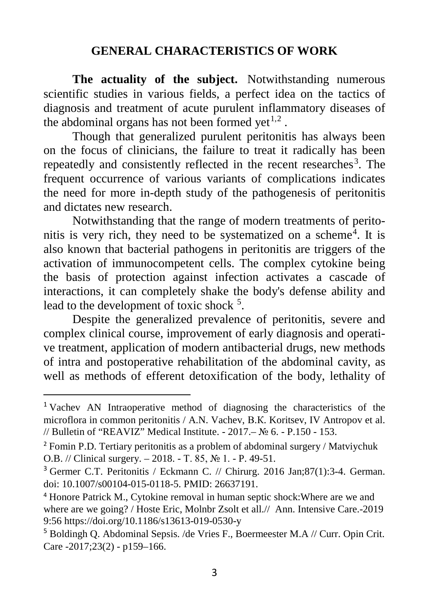### **GENERAL CHARACTERISTICS OF WORK**

**The actuality of the subject.** Notwithstanding numerous scientific studies in various fields, a perfect idea on the tactics of diagnosis and treatment of acute purulent inflammatory diseases of the abdominal organs has not been formed yet<sup> $1,2$  $1,2$ </sup>.

Though that generalized purulent peritonitis has always been on the focus of clinicians, the failure to treat it radically has been repeatedly and consistently reflected in the recent researches<sup>[3](#page-2-2)</sup>. The frequent occurrence of various variants of complications indicates the need for more in-depth study of the pathogenesis of peritonitis and dictates new research.

Notwithstanding that the range of modern treatments of perito-nitis is very rich, they need to be systematized on a scheme<sup>[4](#page-2-3)</sup>. It is also known that bacterial pathogens in peritonitis are triggers of the activation of immunocompetent cells. The complex cytokine being the basis of protection against infection activates a cascade of interactions, it can completely shake the body's defense ability and lead to the development of toxic shock <sup>[5](#page-2-4)</sup>.

Despite the generalized prevalence of peritonitis, severe and complex clinical course, improvement of early diagnosis and operative treatment, application of modern antibacterial drugs, new methods of intra and postoperative rehabilitation of the abdominal cavity, as well as methods of efferent detoxification of the body, lethality of

<span id="page-2-0"></span> <sup>1</sup> Vachev AN Intraoperative method of diagnosing the characteristics of the microflora in common peritonitis / A.N. Vachev, В.К. Koritsev, IV Antropov et al. // Bulletin of "REAVIZ" Medical Institute. - 2017.– № 6. - P.150 - 153.

<span id="page-2-1"></span><sup>&</sup>lt;sup>2</sup> Fomin P.D. Tertiary peritonitis as a problem of abdominal surgery / Matviychuk O.B. // Clinical surgery. – 2018. - Т. 85, № 1. - P. 49-51.

<span id="page-2-2"></span><sup>&</sup>lt;sup>3</sup> Germer C.T. Peritonitis / Eckmann C. // Chirurg. 2016 Jan;87(1):3-4. German. doi: 10.1007/s00104-015-0118-5. PMID: 26637191.

<span id="page-2-3"></span><sup>4</sup> Honore Patrick M., Cytokine removal in human septic shock:Where are we and where are we going? / Hoste Eric, Molnbr Zsolt et all.// Ann. Intensive Care.-2019 9:56<https://doi.org/10.1186/s13613-019-0530-y>

<span id="page-2-4"></span><sup>5</sup> Boldingh Q. Abdominal Sepsis. /de Vries F., Boermeester M.A // Curr. Opin Crit. Care -2017;23(2) - p159–166.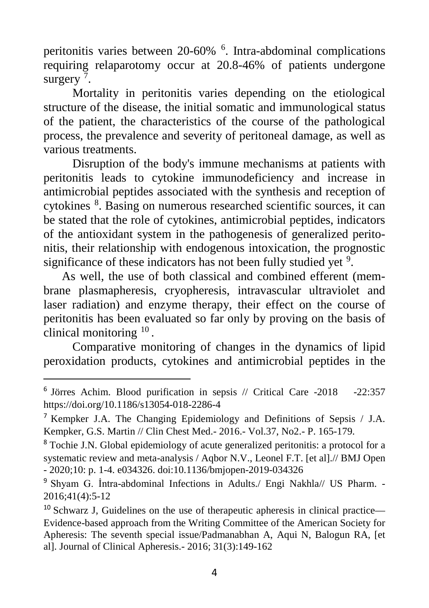peritonitis varies between 20-60% [6](#page-3-0) . Intra-abdominal complications requiring relaparotomy occur at 20.8-46% of patients undergone surgery<sup>[7](#page-3-1)</sup> .

Mortality in peritonitis varies depending on the etiological structure of the disease, the initial somatic and immunological status of the patient, the characteristics of the course of the pathological process, the prevalence and severity of peritoneal damage, as well as various treatments.

Disruption of the body's immune mechanisms at patients with peritonitis leads to cytokine immunodeficiency and increase in antimicrobial peptides associated with the synthesis and reception of cytokines <sup>[8](#page-3-2)</sup>. Basing on numerous researched scientific sources, it can be stated that the role of cytokines, antimicrobial peptides, indicators of the antioxidant system in the pathogenesis of generalized peritonitis, their relationship with endogenous intoxication, the prognostic significance of these indicators has not been fully studied yet <sup>[9](#page-3-3)</sup>.

As well, the use of both classical and combined efferent (membrane plasmapheresis, cryopheresis, intravascular ultraviolet and laser radiation) and enzyme therapy, their effect on the course of peritonitis has been evaluated so far only by proving on the basis of clinical monitoring  $10$ .

Comparative monitoring of changes in the dynamics of lipid peroxidation products, cytokines and antimicrobial peptides in the

<span id="page-3-0"></span> <sup>6</sup> Jörres Achim. Blood purification in sepsis // Critical Care -2018 -22:357 <https://doi.org/10.1186/s13054-018-2286-4>

<span id="page-3-1"></span><sup>7</sup> Kempker J.A. The Changing Epidemiology and Definitions of Sepsis / J.A. Kempker, G.S. Martin // Clin Chest Med.- 2016.- Vol.37, No2.- P. 165-179.

<span id="page-3-2"></span><sup>8</sup> Tochie J.N. Global epidemiology of acute generalized peritonitis: a protocol for a systematic review and meta-analysis / Aqbor N.V., Leonel F.T. [et al].// BMJ Open - 2020;10: p. 1-4. e034326. doi:10.1136/bmjopen-2019-034326

<span id="page-3-3"></span><sup>&</sup>lt;sup>9</sup> Shyam G. İntra-abdominal Infections in Adults./ Engi Nakhla// US Pharm. -2016;41(4):5-12

<span id="page-3-4"></span><sup>&</sup>lt;sup>10</sup> Schwarz J, Guidelines on the use of therapeutic apheresis in clinical practice— Evidence-based approach from the Writing Committee of the American Society for Apheresis: The seventh special issue/Padmanabhan A, Aqui N, Balogun RA, [et al]. Journal of Clinical Apheresis.- 2016; 31(3):149-162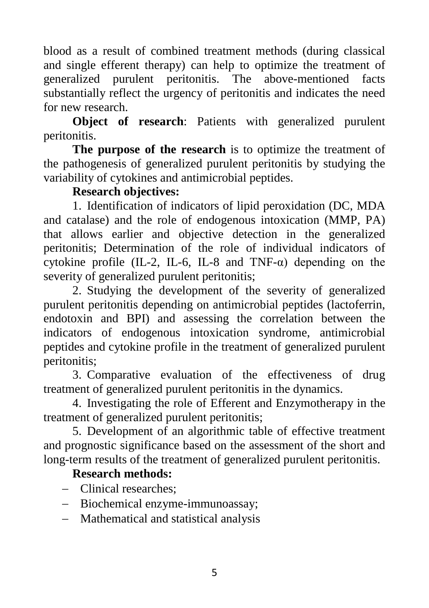blood as a result of combined treatment methods (during classical and single efferent therapy) can help to optimize the treatment of generalized purulent peritonitis. The above-mentioned facts substantially reflect the urgency of peritonitis and indicates the need for new research.

**Object of research**: Patients with generalized purulent peritonitis.

**The purpose of the research** is to optimize the treatment of the pathogenesis of generalized purulent peritonitis by studying the variability of cytokines and antimicrobial peptides.

#### **Research objectives:**

1. Identification of indicators of lipid peroxidation (DC, MDA and catalase) and the role of endogenous intoxication (MMP, PA) that allows earlier and objective detection in the generalized peritonitis; Determination of the role of individual indicators of cytokine profile (IL-2, IL-6, IL-8 and TNF- $\alpha$ ) depending on the severity of generalized purulent peritonitis;

2. Studying the development of the severity of generalized purulent peritonitis depending on antimicrobial peptides (lactoferrin, endotoxin and BPI) and assessing the correlation between the indicators of endogenous intoxication syndrome, antimicrobial peptides and cytokine profile in the treatment of generalized purulent peritonitis;

3. Comparative evaluation of the effectiveness of drug treatment of generalized purulent peritonitis in the dynamics.

4. Investigating the role of Efferent and Enzymotherapy in the treatment of generalized purulent peritonitis;

5. Development of an algorithmic table of effective treatment and prognostic significance based on the assessment of the short and long-term results of the treatment of generalized purulent peritonitis.

#### **Research methods:**

- − Clinical researches;
- − Biochemical enzyme-immunoassay;
- − Mathematical and statistical analysis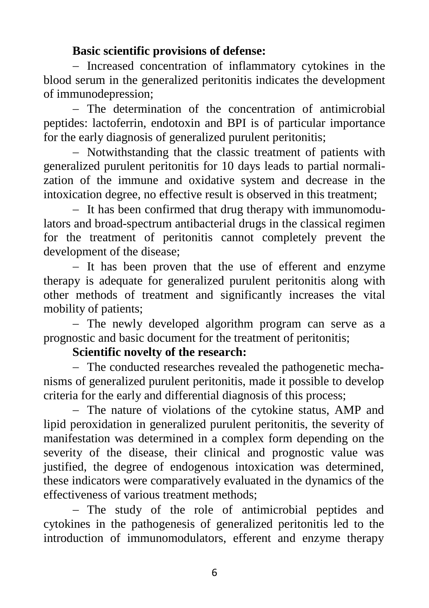### **Basic scientific provisions of defense:**

− Increased concentration of inflammatory cytokines in the blood serum in the generalized peritonitis indicates the development of immunodepression;

− The determination of the concentration of antimicrobial peptides: lactoferrin, endotoxin and BPI is of particular importance for the early diagnosis of generalized purulent peritonitis;

− Notwithstanding that the classic treatment of patients with generalized purulent peritonitis for 10 days leads to partial normalization of the immune and oxidative system and decrease in the intoxication degree, no effective result is observed in this treatment;

− It has been confirmed that drug therapy with immunomodulators and broad-spectrum antibacterial drugs in the classical regimen for the treatment of peritonitis cannot completely prevent the development of the disease;

− It has been proven that the use of efferent and enzyme therapy is adequate for generalized purulent peritonitis along with other methods of treatment and significantly increases the vital mobility of patients;

− The newly developed algorithm program can serve as a prognostic and basic document for the treatment of peritonitis;

## **Scientific novelty of the research:**

− The conducted researches revealed the pathogenetic mechanisms of generalized purulent peritonitis, made it possible to develop criteria for the early and differential diagnosis of this process;

− The nature of violations of the cytokine status, AMP and lipid peroxidation in generalized purulent peritonitis, the severity of manifestation was determined in a complex form depending on the severity of the disease, their clinical and prognostic value was justified, the degree of endogenous intoxication was determined, these indicators were comparatively evaluated in the dynamics of the effectiveness of various treatment methods;

− The study of the role of antimicrobial peptides and cytokines in the pathogenesis of generalized peritonitis led to the introduction of immunomodulators, efferent and enzyme therapy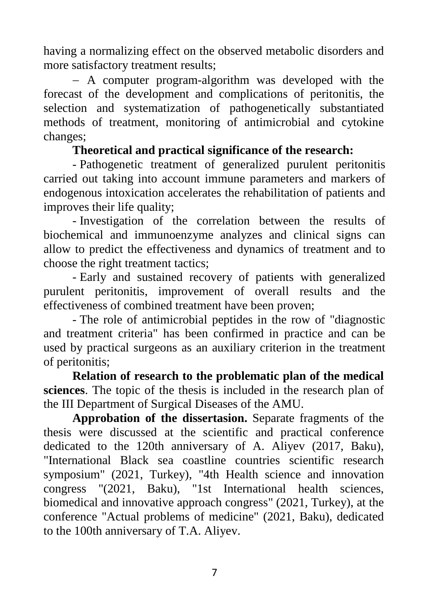having a normalizing effect on the observed metabolic disorders and more satisfactory treatment results;

− A computer program-algorithm was developed with the forecast of the development and complications of peritonitis, the selection and systematization of pathogenetically substantiated methods of treatment, monitoring of antimicrobial and cytokine changes;

## **Theoretical and practical significance of the research:**

- Pathogenetic treatment of generalized purulent peritonitis carried out taking into account immune parameters and markers of endogenous intoxication accelerates the rehabilitation of patients and improves their life quality;

- Investigation of the correlation between the results of biochemical and immunoenzyme analyzes and clinical signs can allow to predict the effectiveness and dynamics of treatment and to choose the right treatment tactics;

- Early and sustained recovery of patients with generalized purulent peritonitis, improvement of overall results and the effectiveness of combined treatment have been proven;

- The role of antimicrobial peptides in the row of "diagnostic and treatment criteria" has been confirmed in practice and can be used by practical surgeons as an auxiliary criterion in the treatment of peritonitis;

**Relation of research to the problematic plan of the medical sciences**. The topic of the thesis is included in the research plan of the III Department of Surgical Diseases of the AMU.

**Approbation of the dissertasion.** Separate fragments of the thesis were discussed at the scientific and practical conference dedicated to the 120th anniversary of A. Aliyev (2017, Baku), "International Black sea coastline countries scientific research symposium" (2021, Turkey), "4th Health science and innovation congress "(2021, Baku), "1st International health sciences, biomedical and innovative approach congress" (2021, Turkey), at the conference "Actual problems of medicine" (2021, Baku), dedicated to the 100th anniversary of T.A. Aliyev.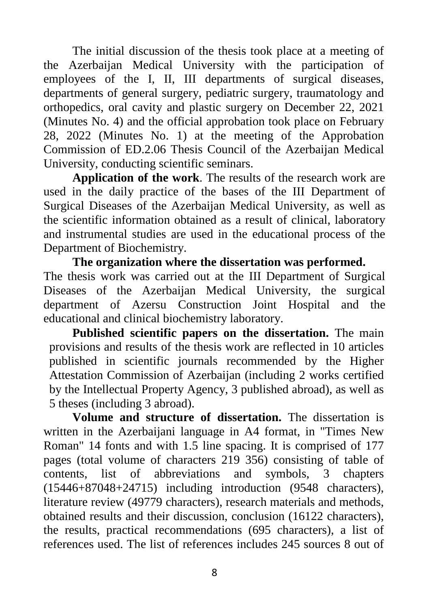The initial discussion of the thesis took place at a meeting of the Azerbaijan Medical University with the participation of employees of the I, II, III departments of surgical diseases, departments of general surgery, pediatric surgery, traumatology and orthopedics, oral cavity and plastic surgery on December 22, 2021 (Minutes No. 4) and the official approbation took place on February 28, 2022 (Minutes No. 1) at the meeting of the Approbation Commission of ED.2.06 Thesis Council of the Azerbaijan Medical University, conducting scientific seminars.

**Application of the work**. The results of the research work are used in the daily practice of the bases of the III Department of Surgical Diseases of the Azerbaijan Medical University, as well as the scientific information obtained as a result of clinical, laboratory and instrumental studies are used in the educational process of the Department of Biochemistry.

**The organization where the dissertation was performed.** The thesis work was carried out at the III Department of Surgical Diseases of the Azerbaijan Medical University, the surgical department of Azersu Construction Joint Hospital and the educational and clinical biochemistry laboratory.

**Published scientific papers on the dissertation.** The main provisions and results of the thesis work are reflected in 10 articles published in scientific journals recommended by the Higher Attestation Commission of Azerbaijan (including 2 works certified by the Intellectual Property Agency, 3 published abroad), as well as 5 theses (including 3 abroad).

**Volume and structure of dissertation.** The dissertation is written in the Azerbaijani language in A4 format, in "Times New Roman" 14 fonts and with 1.5 line spacing. It is comprised of 177 pages (total volume of characters 219 356) consisting of table of contents, list of abbreviations and symbols, 3 chapters (15446+87048+24715) including introduction (9548 characters), literature review (49779 characters), research materials and methods, obtained results and their discussion, conclusion (16122 characters), the results, practical recommendations (695 characters), a list of references used. The list of references includes 245 sources 8 out of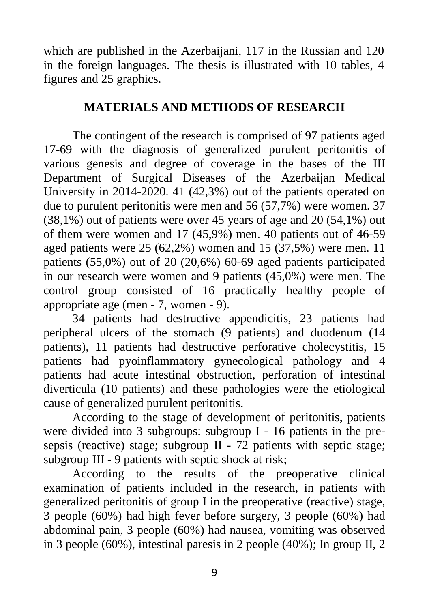which are published in the Azerbaijani, 117 in the Russian and 120 in the foreign languages. The thesis is illustrated with 10 tables, 4 figures and 25 graphics.

## **MATERIALS AND METHODS OF RESEARCH**

The contingent of the research is comprised of 97 patients aged 17-69 with the diagnosis of generalized purulent peritonitis of various genesis and degree of coverage in the bases of the III Department of Surgical Diseases of the Azerbaijan Medical University in 2014-2020. 41 (42,3%) out of the patients operated on due to purulent peritonitis were men and 56 (57,7%) were women. 37 (38,1%) out of patients were over 45 years of age and 20 (54,1%) out of them were women and 17 (45,9%) men. 40 patients out of 46-59 aged patients were 25 (62,2%) women and 15 (37,5%) were men. 11 patients (55,0%) out of 20 (20,6%) 60-69 aged patients participated in our research were women and 9 patients (45,0%) were men. The control group consisted of 16 practically healthy people of appropriate age (men - 7, women - 9).

34 patients had destructive appendicitis, 23 patients had peripheral ulcers of the stomach (9 patients) and duodenum (14 patients), 11 patients had destructive perforative cholecystitis, 15 patients had pyoinflammatory gynecological pathology and 4 patients had acute intestinal obstruction, perforation of intestinal diverticula (10 patients) and these pathologies were the etiological cause of generalized purulent peritonitis.

According to the stage of development of peritonitis, patients were divided into 3 subgroups: subgroup I - 16 patients in the presepsis (reactive) stage; subgroup II - 72 patients with septic stage; subgroup III - 9 patients with septic shock at risk;

According to the results of the preoperative clinical examination of patients included in the research, in patients with generalized peritonitis of group I in the preoperative (reactive) stage, 3 people (60%) had high fever before surgery, 3 people (60%) had abdominal pain, 3 people (60%) had nausea, vomiting was observed in 3 people (60%), intestinal paresis in 2 people (40%); In group II, 2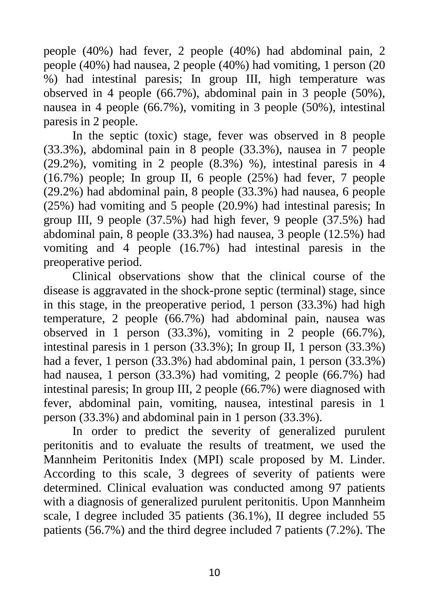people (40%) had fever, 2 people (40%) had abdominal pain, 2 people (40%) had nausea, 2 people (40%) had vomiting, 1 person (20 %) had intestinal paresis; In group III, high temperature was observed in 4 people (66.7%), abdominal pain in 3 people (50%), nausea in 4 people (66.7%), vomiting in 3 people (50%), intestinal paresis in 2 people.

In the septic (toxic) stage, fever was observed in 8 people (33.3%), abdominal pain in 8 people (33.3%), nausea in 7 people (29.2%), vomiting in 2 people (8.3%) %), intestinal paresis in 4 (16.7%) people; In group II, 6 people (25%) had fever, 7 people (29.2%) had abdominal pain, 8 people (33.3%) had nausea, 6 people (25%) had vomiting and 5 people (20.9%) had intestinal paresis; In group III, 9 people (37.5%) had high fever, 9 people (37.5%) had abdominal pain, 8 people (33.3%) had nausea, 3 people (12.5%) had vomiting and 4 people (16.7%) had intestinal paresis in the preoperative period.

Clinical observations show that the clinical course of the disease is aggravated in the shock-prone septic (terminal) stage, since in this stage, in the preoperative period, 1 person (33.3%) had high temperature, 2 people (66.7%) had abdominal pain, nausea was observed in 1 person (33.3%), vomiting in 2 people (66.7%), intestinal paresis in 1 person (33.3%); In group II, 1 person (33.3%) had a fever, 1 person (33.3%) had abdominal pain, 1 person (33.3%) had nausea, 1 person (33.3%) had vomiting, 2 people (66.7%) had intestinal paresis; In group III, 2 people (66.7%) were diagnosed with fever, abdominal pain, vomiting, nausea, intestinal paresis in 1 person (33.3%) and abdominal pain in 1 person (33.3%).

In order to predict the severity of generalized purulent peritonitis and to evaluate the results of treatment, we used the Mannheim Peritonitis Index (MPI) scale proposed by M. Linder. According to this scale, 3 degrees of severity of patients were determined. Clinical evaluation was conducted among 97 patients with a diagnosis of generalized purulent peritonitis. Upon Mannheim scale, I degree included 35 patients (36.1%), II degree included 55 patients (56.7%) and the third degree included 7 patients (7.2%). The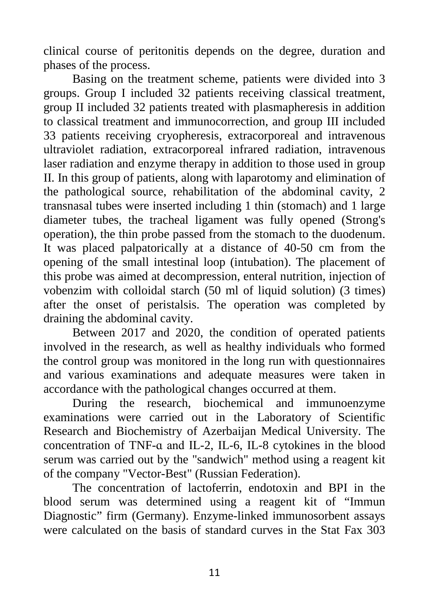clinical course of peritonitis depends on the degree, duration and phases of the process.

Basing on the treatment scheme, patients were divided into 3 groups. Group I included 32 patients receiving classical treatment, group II included 32 patients treated with plasmapheresis in addition to classical treatment and immunocorrection, and group III included 33 patients receiving cryopheresis, extracorporeal and intravenous ultraviolet radiation, extracorporeal infrared radiation, intravenous laser radiation and enzyme therapy in addition to those used in group II. In this group of patients, along with laparotomy and elimination of the pathological source, rehabilitation of the abdominal cavity, 2 transnasal tubes were inserted including 1 thin (stomach) and 1 large diameter tubes, the tracheal ligament was fully opened (Strong's operation), the thin probe passed from the stomach to the duodenum. It was placed palpatorically at a distance of 40-50 cm from the opening of the small intestinal loop (intubation). The placement of this probe was aimed at decompression, enteral nutrition, injection of vobenzim with colloidal starch (50 ml of liquid solution) (3 times) after the onset of peristalsis. The operation was completed by draining the abdominal cavity.

Between 2017 and 2020, the condition of operated patients involved in the research, as well as healthy individuals who formed the control group was monitored in the long run with questionnaires and various examinations and adequate measures were taken in accordance with the pathological changes occurred at them.

During the research, biochemical and immunoenzyme examinations were carried out in the Laboratory of Scientific Research and Biochemistry of Azerbaijan Medical University. The concentration of TNF-ɑ and IL-2, IL-6, IL-8 cytokines in the blood serum was carried out by the "sandwich" method using a reagent kit of the company "Vector-Best" (Russian Federation).

The concentration of lactoferrin, endotoxin and BPI in the blood serum was determined using a reagent kit of "Immun Diagnostic" firm (Germany). Enzyme-linked immunosorbent assays were calculated on the basis of standard curves in the Stat Fax 303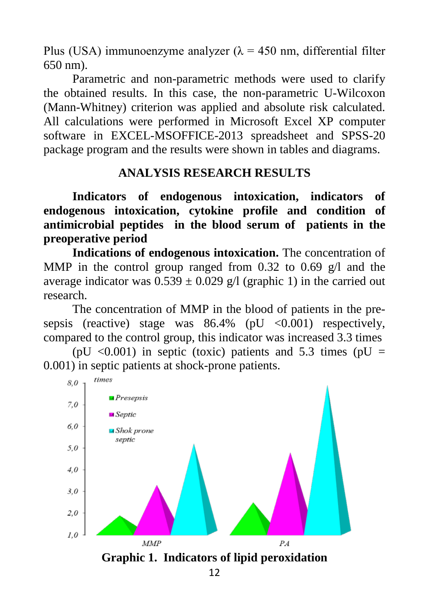Plus (USA) immunoenzyme analyzer ( $\lambda = 450$  nm, differential filter 650 nm).

Parametric and non-parametric methods were used to clarify the obtained results. In this case, the non-parametric U-Wilcoxon (Mann-Whitney) criterion was applied and absolute risk calculated. All calculations were performed in Microsoft Excel XP computer software in EXCEL-MSOFFICE-2013 spreadsheet and SPSS-20 package program and the results were shown in tables and diagrams.

## **ANALYSIS RESEARCH RESULTS**

**Indicators of endogenous intoxication, indicators of endogenous intoxication, cytokine profile and condition of antimicrobial peptides in the blood serum of patients in the preoperative period** 

**Indications of endogenous intoxication.** The concentration of MMP in the control group ranged from 0.32 to 0.69  $g/$  and the average indicator was  $0.539 \pm 0.029$  g/l (graphic 1) in the carried out research.

The concentration of MMP in the blood of patients in the presepsis (reactive) stage was  $86.4\%$  (pU <0.001) respectively, compared to the control group, this indicator was increased 3.3 times

(pU  $\langle 0.001 \rangle$ ) in septic (toxic) patients and 5.3 times (pU = 0.001) in septic patients at shock-prone patients.

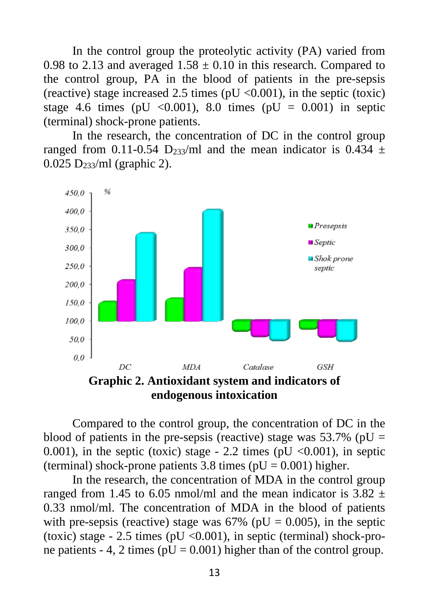In the control group the proteolytic activity (PA) varied from 0.98 to 2.13 and averaged  $1.58 \pm 0.10$  in this research. Compared to the control group, PA in the blood of patients in the pre-sepsis (reactive) stage increased 2.5 times ( $pU \le 0.001$ ), in the septic (toxic) stage 4.6 times (pU <0.001), 8.0 times (pU =  $0.001$ ) in septic (terminal) shock-prone patients.

In the research, the concentration of DC in the control group ranged from 0.11-0.54 D<sub>233</sub>/ml and the mean indicator is 0.434  $\pm$ 0.025 D233/ml (graphic 2).



**endogenous intoxication**

Compared to the control group, the concentration of DC in the blood of patients in the pre-sepsis (reactive) stage was  $53.7\%$  (pU = 0.001), in the septic (toxic) stage - 2.2 times (pU  $\langle 0.001 \rangle$ , in septic (terminal) shock-prone patients 3.8 times ( $pU = 0.001$ ) higher.

In the research, the concentration of MDA in the control group ranged from 1.45 to 6.05 nmol/ml and the mean indicator is  $3.82 \pm$ 0.33 nmol/ml. The concentration of MDA in the blood of patients with pre-sepsis (reactive) stage was  $67\%$  (pU = 0.005), in the septic (toxic) stage  $-2.5$  times (pU <0.001), in septic (terminal) shock-prone patients - 4, 2 times ( $pU = 0.001$ ) higher than of the control group.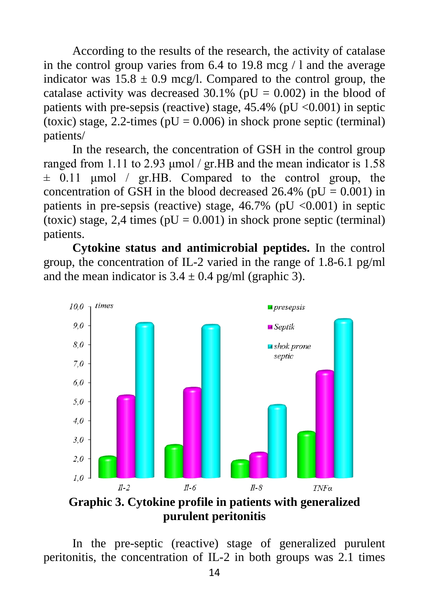According to the results of the research, the activity of catalase in the control group varies from 6.4 to 19.8 mcg / l and the average indicator was  $15.8 \pm 0.9$  mcg/l. Compared to the control group, the catalase activity was decreased  $30.1\%$  (pU = 0.002) in the blood of patients with pre-sepsis (reactive) stage,  $45.4\%$  (pU <0.001) in septic (toxic) stage, 2.2-times ( $pU = 0.006$ ) in shock prone septic (terminal) patients/

In the research, the concentration of GSH in the control group ranged from 1.11 to 2.93 μmol / gr.HB and the mean indicator is 1.58  $\pm$  0.11 µmol / gr.HB. Compared to the control group, the concentration of GSH in the blood decreased  $26.4\%$  (pU = 0.001) in patients in pre-sepsis (reactive) stage,  $46.7\%$  (pU <0.001) in septic (toxic) stage, 2,4 times ( $pU = 0.001$ ) in shock prone septic (terminal) patients.

**Cytokine status and antimicrobial peptides.** In the control group, the concentration of IL-2 varied in the range of 1.8-6.1 pg/ml and the mean indicator is  $3.4 \pm 0.4$  pg/ml (graphic 3).



**Graphic 3. Cytokine profile in patients with generalized purulent peritonitis**

In the pre-septic (reactive) stage of generalized purulent peritonitis, the concentration of IL-2 in both groups was 2.1 times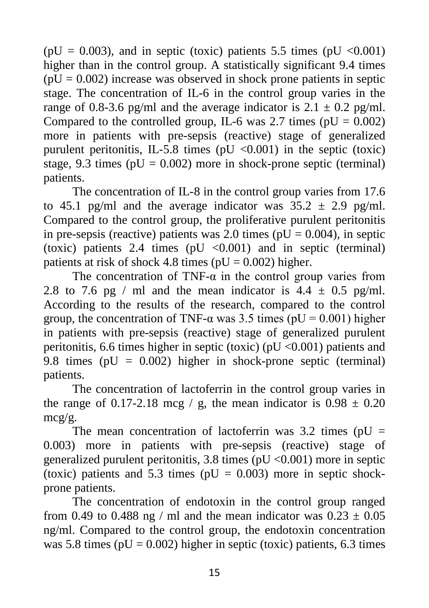( $pU = 0.003$ ), and in septic (toxic) patients 5.5 times ( $pU < 0.001$ ) higher than in the control group. A statistically significant 9.4 times  $(pU = 0.002)$  increase was observed in shock prone patients in septic stage. The concentration of IL-6 in the control group varies in the range of 0.8-3.6 pg/ml and the average indicator is  $2.1 \pm 0.2$  pg/ml. Compared to the controlled group, IL-6 was 2.7 times ( $pU = 0.002$ ) more in patients with pre-sepsis (reactive) stage of generalized purulent peritonitis, IL-5.8 times ( $pU < 0.001$ ) in the septic (toxic) stage, 9.3 times ( $pU = 0.002$ ) more in shock-prone septic (terminal) patients.

The concentration of IL-8 in the control group varies from 17.6 to 45.1 pg/ml and the average indicator was  $35.2 \pm 2.9$  pg/ml. Compared to the control group, the proliferative purulent peritonitis in pre-sepsis (reactive) patients was 2.0 times ( $pU = 0.004$ ), in septic (toxic) patients 2.4 times ( $pU < 0.001$ ) and in septic (terminal) patients at risk of shock 4.8 times ( $pU = 0.002$ ) higher.

The concentration of TNF- $\alpha$  in the control group varies from 2.8 to 7.6 pg / ml and the mean indicator is  $4.4 \pm 0.5$  pg/ml. According to the results of the research, compared to the control group, the concentration of TNF- $\alpha$  was 3.5 times (pU = 0.001) higher in patients with pre-sepsis (reactive) stage of generalized purulent peritonitis, 6.6 times higher in septic (toxic) ( $pU < 0.001$ ) patients and 9.8 times ( $pU = 0.002$ ) higher in shock-prone septic (terminal) patients.

The concentration of lactoferrin in the control group varies in the range of 0.17-2.18 mcg / g, the mean indicator is  $0.98 \pm 0.20$ mcg/g.

The mean concentration of lactoferrin was  $3.2$  times (pU = 0.003) more in patients with pre-sepsis (reactive) stage of generalized purulent peritonitis, 3.8 times ( $pU < 0.001$ ) more in septic (toxic) patients and 5.3 times ( $pU = 0.003$ ) more in septic shockprone patients.

The concentration of endotoxin in the control group ranged from 0.49 to 0.488 ng / ml and the mean indicator was  $0.23 \pm 0.05$ ng/ml. Compared to the control group, the endotoxin concentration was 5.8 times ( $pU = 0.002$ ) higher in septic (toxic) patients, 6.3 times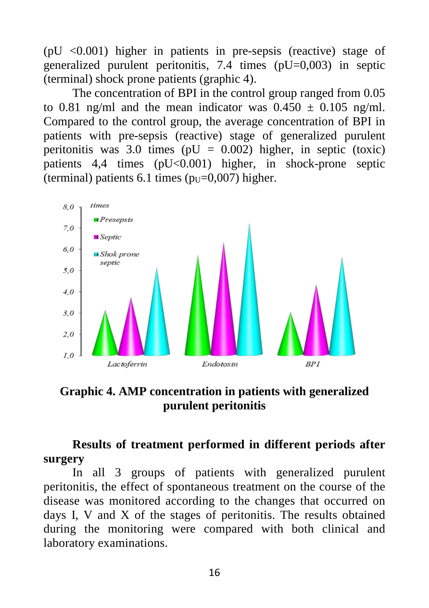$(pU < 0.001)$  higher in patients in pre-sepsis (reactive) stage of generalized purulent peritonitis, 7.4 times (pU=0,003) in septic (terminal) shock prone patients (graphic 4).

The concentration of BPI in the control group ranged from 0.05 to 0.81 ng/ml and the mean indicator was  $0.450 \pm 0.105$  ng/ml. Compared to the control group, the average concentration of BPI in patients with pre-sepsis (reactive) stage of generalized purulent peritonitis was 3.0 times ( $pU = 0.002$ ) higher, in septic (toxic) patients 4,4 times (pU<0.001) higher, in shock-prone septic (terminal) patients 6.1 times  $(p_U=0.007)$  higher.



**Graphic 4. AMP concentration in patients with generalized purulent peritonitis**

**Results of treatment performed in different periods after surgery**

In all 3 groups of patients with generalized purulent peritonitis, the effect of spontaneous treatment on the course of the disease was monitored according to the changes that occurred on days I, V and X of the stages of peritonitis. The results obtained during the monitoring were compared with both clinical and laboratory examinations.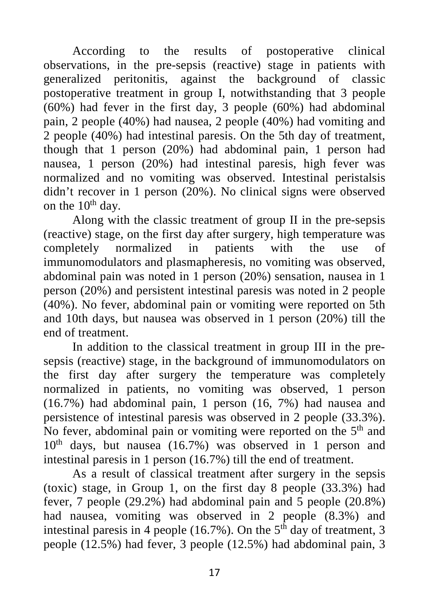According to the results of postoperative clinical observations, in the pre-sepsis (reactive) stage in patients with generalized peritonitis, against the background of classic postoperative treatment in group I, notwithstanding that 3 people (60%) had fever in the first day, 3 people (60%) had abdominal pain, 2 people (40%) had nausea, 2 people (40%) had vomiting and 2 people (40%) had intestinal paresis. On the 5th day of treatment, though that 1 person (20%) had abdominal pain, 1 person had nausea, 1 person (20%) had intestinal paresis, high fever was normalized and no vomiting was observed. Intestinal peristalsis didn't recover in 1 person (20%). No clinical signs were observed on the  $10^{th}$  day.

Along with the classic treatment of group II in the pre-sepsis (reactive) stage, on the first day after surgery, high temperature was<br>completely normalized in patients with the use of completely normalized in patients with the use of immunomodulators and plasmapheresis, no vomiting was observed, abdominal pain was noted in 1 person (20%) sensation, nausea in 1 person (20%) and persistent intestinal paresis was noted in 2 people (40%). No fever, abdominal pain or vomiting were reported on 5th and 10th days, but nausea was observed in 1 person (20%) till the end of treatment.

In addition to the classical treatment in group III in the presepsis (reactive) stage, in the background of immunomodulators on the first day after surgery the temperature was completely normalized in patients, no vomiting was observed, 1 person (16.7%) had abdominal pain, 1 person (16, 7%) had nausea and persistence of intestinal paresis was observed in 2 people (33.3%). No fever, abdominal pain or vomiting were reported on the 5<sup>th</sup> and  $10<sup>th</sup>$  days, but nausea (16.7%) was observed in 1 person and intestinal paresis in 1 person (16.7%) till the end of treatment.

As a result of classical treatment after surgery in the sepsis (toxic) stage, in Group 1, on the first day 8 people (33.3%) had fever, 7 people (29.2%) had abdominal pain and 5 people (20.8%) had nausea, vomiting was observed in 2 people (8.3%) and intestinal paresis in 4 people (16.7%). On the  $5<sup>th</sup>$  day of treatment, 3 people (12.5%) had fever, 3 people (12.5%) had abdominal pain, 3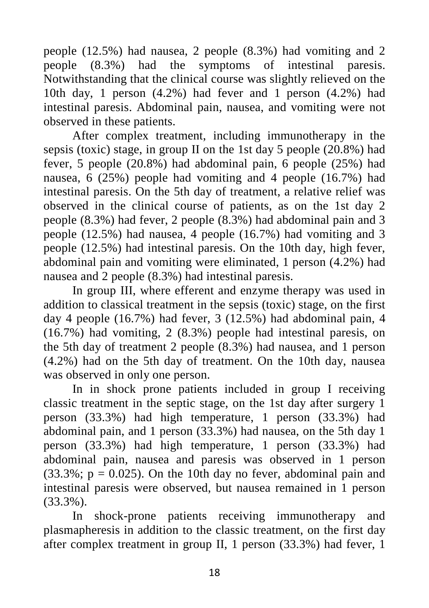people (12.5%) had nausea, 2 people (8.3%) had vomiting and 2 people (8.3%) had the symptoms of intestinal paresis. Notwithstanding that the clinical course was slightly relieved on the 10th day, 1 person (4.2%) had fever and 1 person (4.2%) had intestinal paresis. Abdominal pain, nausea, and vomiting were not observed in these patients.

After complex treatment, including immunotherapy in the sepsis (toxic) stage, in group II on the 1st day 5 people (20.8%) had fever, 5 people (20.8%) had abdominal pain, 6 people (25%) had nausea, 6 (25%) people had vomiting and 4 people (16.7%) had intestinal paresis. On the 5th day of treatment, a relative relief was observed in the clinical course of patients, as on the 1st day 2 people (8.3%) had fever, 2 people (8.3%) had abdominal pain and 3 people (12.5%) had nausea, 4 people (16.7%) had vomiting and 3 people (12.5%) had intestinal paresis. On the 10th day, high fever, abdominal pain and vomiting were eliminated, 1 person (4.2%) had nausea and 2 people (8.3%) had intestinal paresis.

In group III, where efferent and enzyme therapy was used in addition to classical treatment in the sepsis (toxic) stage, on the first day 4 people (16.7%) had fever, 3 (12.5%) had abdominal pain, 4 (16.7%) had vomiting, 2 (8.3%) people had intestinal paresis, on the 5th day of treatment 2 people (8.3%) had nausea, and 1 person (4.2%) had on the 5th day of treatment. On the 10th day, nausea was observed in only one person.

In in shock prone patients included in group I receiving classic treatment in the septic stage, on the 1st day after surgery 1 person (33.3%) had high temperature, 1 person (33.3%) had abdominal pain, and 1 person (33.3%) had nausea, on the 5th day 1 person (33.3%) had high temperature, 1 person (33.3%) had abdominal pain, nausea and paresis was observed in 1 person  $(33.3\%; p = 0.025)$ . On the 10th day no fever, abdominal pain and intestinal paresis were observed, but nausea remained in 1 person (33.3%).

In shock-prone patients receiving immunotherapy and plasmapheresis in addition to the classic treatment, on the first day after complex treatment in group II, 1 person (33.3%) had fever, 1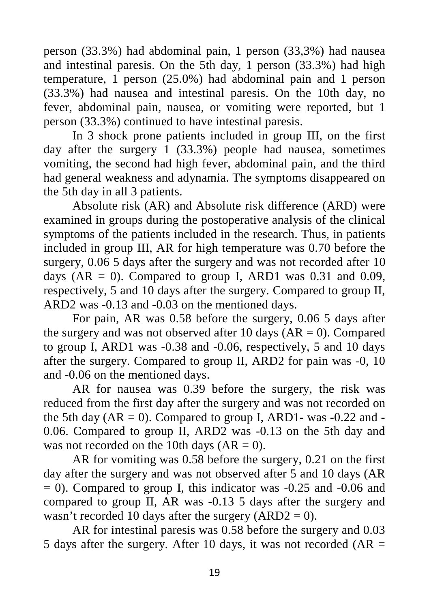person (33.3%) had abdominal pain, 1 person (33,3%) had nausea and intestinal paresis. On the 5th day, 1 person (33.3%) had high temperature, 1 person (25.0%) had abdominal pain and 1 person (33.3%) had nausea and intestinal paresis. On the 10th day, no fever, abdominal pain, nausea, or vomiting were reported, but 1 person (33.3%) continued to have intestinal paresis.

In 3 shock prone patients included in group III, on the first day after the surgery 1 (33.3%) people had nausea, sometimes vomiting, the second had high fever, abdominal pain, and the third had general weakness and adynamia. The symptoms disappeared on the 5th day in all 3 patients.

Absolute risk (AR) and Absolute risk difference (ARD) were examined in groups during the postoperative analysis of the clinical symptoms of the patients included in the research. Thus, in patients included in group III, AR for high temperature was 0.70 before the surgery, 0.06 5 days after the surgery and was not recorded after 10 days ( $AR = 0$ ). Compared to group I,  $ARD1$  was 0.31 and 0.09, respectively, 5 and 10 days after the surgery. Compared to group II, ARD2 was -0.13 and -0.03 on the mentioned days.

For pain, AR was 0.58 before the surgery, 0.06 5 days after the surgery and was not observed after 10 days  $(AR = 0)$ . Compared to group I, ARD1 was -0.38 and -0.06, respectively, 5 and 10 days after the surgery. Compared to group II, ARD2 for pain was -0, 10 and -0.06 on the mentioned days.

AR for nausea was 0.39 before the surgery, the risk was reduced from the first day after the surgery and was not recorded on the 5th day  $(AR = 0)$ . Compared to group I, ARD1- was -0.22 and -0.06. Compared to group II, ARD2 was -0.13 on the 5th day and was not recorded on the 10th days  $(AR = 0)$ .

AR for vomiting was 0.58 before the surgery, 0.21 on the first day after the surgery and was not observed after 5 and 10 days (AR  $= 0$ ). Compared to group I, this indicator was  $-0.25$  and  $-0.06$  and compared to group II, AR was -0.13 5 days after the surgery and wasn't recorded 10 days after the surgery  $(ARD2 = 0)$ .

AR for intestinal paresis was 0.58 before the surgery and 0.03 5 days after the surgery. After 10 days, it was not recorded  $AR =$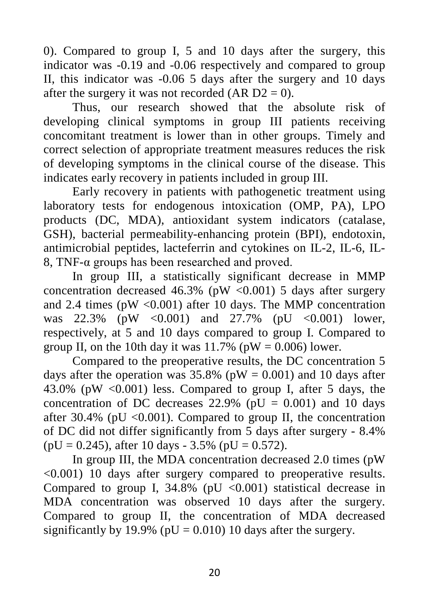0). Compared to group I, 5 and 10 days after the surgery, this indicator was -0.19 and -0.06 respectively and compared to group II, this indicator was -0.06 5 days after the surgery and 10 days after the surgery it was not recorded (AR  $D2 = 0$ ).

Thus, our research showed that the absolute risk of developing clinical symptoms in group III patients receiving concomitant treatment is lower than in other groups. Timely and correct selection of appropriate treatment measures reduces the risk of developing symptoms in the clinical course of the disease. This indicates early recovery in patients included in group III.

Early recovery in patients with pathogenetic treatment using laboratory tests for endogenous intoxication (OMP, PA), LPO products (DC, MDA), antioxidant system indicators (catalase, GSH), bacterial permeability-enhancing protein (BPI), endotoxin, antimicrobial peptides, lacteferrin and cytokines on IL-2, IL-6, IL-8, TNF-α groups has been researched and proved.

In group III, a statistically significant decrease in MMP concentration decreased 46.3% (pW  $\langle 0.001 \rangle$  5 days after surgery and 2.4 times ( $pW < 0.001$ ) after 10 days. The MMP concentration was  $22.3\%$  (pW <0.001) and  $27.7\%$  (pU <0.001) lower, respectively, at 5 and 10 days compared to group I. Compared to group II, on the 10th day it was  $11.7\%$  (pW = 0.006) lower.

Compared to the preoperative results, the DC concentration 5 days after the operation was  $35.8\%$  (pW = 0.001) and 10 days after 43.0% (pW  $\langle 0.001 \rangle$  less. Compared to group I, after 5 days, the concentration of DC decreases  $22.9\%$  (pU = 0.001) and 10 days after 30.4% (pU  $\langle 0.001 \rangle$ ). Compared to group II, the concentration of DC did not differ significantly from 5 days after surgery - 8.4%  $(pU = 0.245)$ , after 10 days - 3.5% (pU = 0.572).

In group III, the MDA concentration decreased 2.0 times (pW <0.001) 10 days after surgery compared to preoperative results. Compared to group I,  $34.8\%$  (pU <0.001) statistical decrease in MDA concentration was observed 10 days after the surgery. Compared to group II, the concentration of MDA decreased significantly by 19.9% ( $pU = 0.010$ ) 10 days after the surgery.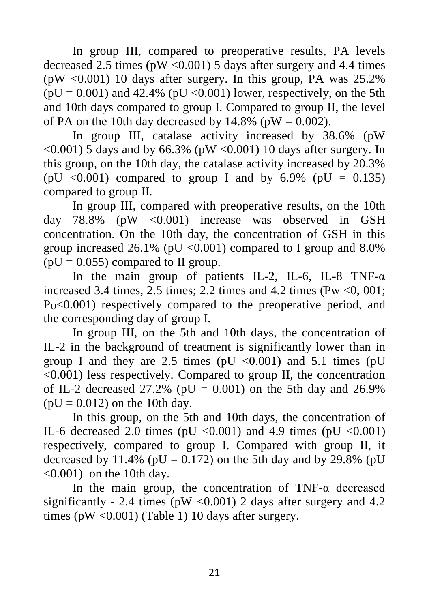In group III, compared to preoperative results, PA levels decreased 2.5 times ( $pW < 0.001$ ) 5 days after surgery and 4.4 times (pW  $\langle 0.001 \rangle$ ) 10 days after surgery. In this group, PA was 25.2%  $(pU = 0.001)$  and 42.4% (pU < 0.001) lower, respectively, on the 5th and 10th days compared to group I. Compared to group II, the level of PA on the 10th day decreased by  $14.8\%$  (pW = 0.002).

In group III, catalase activity increased by 38.6% (pW  $\langle 0.001 \rangle$  5 days and by 66.3% (pW  $\langle 0.001 \rangle$  10 days after surgery. In this group, on the 10th day, the catalase activity increased by 20.3% (pU <0.001) compared to group I and by  $6.9\%$  (pU = 0.135) compared to group II.

In group III, compared with preoperative results, on the 10th day  $78.8\%$  (pW <0.001) increase was observed in GSH concentration. On the 10th day, the concentration of GSH in this group increased  $26.1\%$  (pU < 0.001) compared to I group and 8.0%  $(pU = 0.055)$  compared to II group.

In the main group of patients IL-2, IL-6, IL-8 TNF- $\alpha$ increased 3.4 times, 2.5 times; 2.2 times and 4.2 times (Pw  $\lt 0$ , 001;  $P<sub>U</sub> < 0.001$  respectively compared to the preoperative period, and the corresponding day of group I.

In group III, on the 5th and 10th days, the concentration of IL-2 in the background of treatment is significantly lower than in group I and they are 2.5 times (pU  $\langle 0.001 \rangle$  and 5.1 times (pU <0.001) less respectively. Compared to group II, the concentration of IL-2 decreased 27.2% ( $pU = 0.001$ ) on the 5th day and 26.9%  $(pU = 0.012)$  on the 10th day.

In this group, on the 5th and 10th days, the concentration of IL-6 decreased 2.0 times (pU  $\langle 0.001 \rangle$  and 4.9 times (pU  $\langle 0.001 \rangle$ ) respectively, compared to group I. Compared with group II, it decreased by 11.4% ( $pU = 0.172$ ) on the 5th day and by 29.8% ( $pU$  $\leq 0.001$ ) on the 10th day.

In the main group, the concentration of TNF- $\alpha$  decreased significantly - 2.4 times ( $pW < 0.001$ ) 2 days after surgery and 4.2 times ( $pW < 0.001$ ) (Table 1) 10 days after surgery.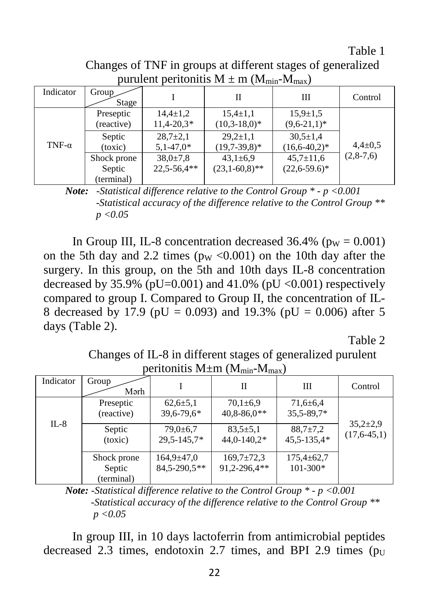Table 1

Changes of TNF in groups at different stages of generalized purulent peritonitis  $M + m (M_{min}-M_{max})$ 

| $P^{\text{eff}}$ $P^{\text{eff}}$ $P^{\text{eff}}$ $P^{\text{eff}}$ $P^{\text{eff}}$ $P^{\text{eff}}$ $P^{\text{eff}}$ $P^{\text{eff}}$ $P^{\text{eff}}$ $P^{\text{eff}}$ |                                     |                                 |                                   |                                      |               |
|---------------------------------------------------------------------------------------------------------------------------------------------------------------------------|-------------------------------------|---------------------------------|-----------------------------------|--------------------------------------|---------------|
| Indicator                                                                                                                                                                 | Group<br>Stage                      |                                 | Н                                 | Ш                                    | Control       |
|                                                                                                                                                                           | Preseptic<br>(reactive)             | $14,4 \pm 1,2$<br>$11,4-20,3*$  | $15,4{\pm}1,1$<br>$(10,3-18,0)^*$ | $15.9 \pm 1.5$<br>$(9,6-21,1)^*$     |               |
| TNF- $\alpha$                                                                                                                                                             | Septic<br>(toxic)                   | $28.7 \pm 2.1$<br>$5,1-47,0*$   | $29.2 \pm 1.1$<br>$(19.7-39.8)^*$ | $30.5 \pm 1.4$<br>$(16,6-40,2)*$     | $4.4 \pm 0.5$ |
|                                                                                                                                                                           | Shock prone<br>Septic<br>(terminal) | $38,0{\pm}7,8$<br>$22,5-56,4**$ | $43,1\pm 6,9$<br>$(23,1-60,8)$ ** | $45,7 \pm 11,6$<br>$(22.6 - 59.6)^*$ | $(2,8-7,6)$   |

*Note: -Statistical difference relative to the Control Group \* - p <0.001 -Statistical accuracy of the difference relative to the Control Group \*\* p <0.05*

In Group III, IL-8 concentration decreased  $36.4\%$  (p<sub>W</sub> = 0.001) on the 5th day and 2.2 times ( $pw < 0.001$ ) on the 10th day after the surgery. In this group, on the 5th and 10th days IL-8 concentration decreased by 35.9% (pU=0.001) and 41.0% (pU  $\langle 0.001 \rangle$  respectively compared to group I. Compared to Group II, the concentration of IL-8 decreased by 17.9 (pU = 0.093) and 19.3% (pU = 0.006) after 5 days (Table 2).

Table 2

Changes of IL-8 in different stages of generalized purulent peritonitis  $M+m$  ( $M_{min}-M_{max}$ )

| ------- <i>--</i> -----<br>$\sim$ $\sim$ $\sim$ $\sim$ $\sim$ $\sim$ $\sim$ $\sim$ |                                     |                                   |                                   |                                  |                                 |
|------------------------------------------------------------------------------------|-------------------------------------|-----------------------------------|-----------------------------------|----------------------------------|---------------------------------|
| Indicator                                                                          | Group<br>Mərh                       |                                   | П                                 | Ш                                | Control                         |
|                                                                                    | Preseptic<br>(reactive)             | $62,6{\pm}5,1$<br>39,6-79,6*      | $70,1\pm 6.9$<br>$40,8 - 86,0$ ** | $71,6 \pm 6,4$<br>$35,5 - 89,7*$ |                                 |
| $IL-8$                                                                             | Septic<br>(toxic)                   | $79,0{\pm}6.7$<br>$29.5 - 145.7*$ | $83.5 \pm 5.1$<br>$44,0-140,2*$   | $88.7 \pm 7.2$<br>45,5-135,4*    | $35,2{\pm}2,9$<br>$(17,6-45,1)$ |
|                                                                                    | Shock prone<br>Septic<br>(terminal) | $164.9 \pm 47.0$<br>84,5-290,5**  | $169.7 \pm 72.3$<br>91,2-296,4**  | $175,4 \pm 62,7$<br>101-300*     |                                 |

*Note: -Statistical difference relative to the Control Group \* - p <0.001 -Statistical accuracy of the difference relative to the Control Group \*\* p <0.05*

In group III, in 10 days lactoferrin from antimicrobial peptides decreased 2.3 times, endotoxin 2.7 times, and BPI 2.9 times  $(p_U)$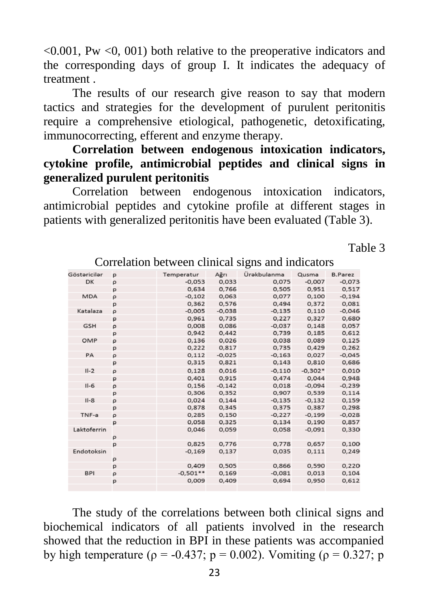$\leq 0.001$ , Pw  $\leq 0.001$ ) both relative to the preoperative indicators and the corresponding days of group I. It indicates the adequacy of treatment .

The results of our research give reason to say that modern tactics and strategies for the development of purulent peritonitis require a comprehensive etiological, pathogenetic, detoxificating, immunocorrecting, efferent and enzyme therapy.

## **Correlation between endogenous intoxication indicators, cytokine profile, antimicrobial peptides and clinical signs in generalized purulent peritonitis**

Correlation between endogenous intoxication indicators, antimicrobial peptides and cytokine profile at different stages in patients with generalized peritonitis have been evaluated (Table 3).

Table 3

| Göstəricilər | p            | Temperatur | Ağrı     | Ürəkbulanma | Qusma     | <b>B.Parez</b> |
|--------------|--------------|------------|----------|-------------|-----------|----------------|
| DK           | ρ            | $-0.053$   | 0,033    | 0,075       | $-0,007$  | $-0,073$       |
|              | p            | 0.634      | 0.766    | 0.505       | 0.951     | 0.517          |
| <b>MDA</b>   | $\rho$       | $-0,102$   | 0,063    | 0,077       | 0,100     | $-0,194$       |
|              | p            | 0.362      | 0.576    | 0.494       | 0.372     | 0.081          |
| Katalaza     | P            | $-0.005$   | $-0,038$ | $-0.135$    | 0,110     | $-0,046$       |
|              | p            | 0.961      | 0,735    | 0.227       | 0,327     | 0,680          |
| <b>GSH</b>   | ρ            | 0,008      | 0,086    | $-0,037$    | 0.148     | 0,057          |
|              | p            | 0.942      | 0,442    | 0,739       | 0,185     | 0,612          |
| OMP          | ρ            | 0.136      | 0,026    | 0.038       | 0,089     | 0,125          |
|              | p            | 0,222      | 0,817    | 0,735       | 0,429     | 0,262          |
| PA           | $\mathsf{p}$ | 0,112      | $-0,025$ | $-0,163$    | 0,027     | $-0,045$       |
|              | р            | 0,315      | 0,821    | 0,143       | 0,810     | 0,686          |
| $II-2$       | P            | 0,128      | 0,016    | $-0.110$    | $-0.302*$ | 0,010          |
|              | p            | 0,401      | 0,915    | 0,474       | 0,044     | 0,948          |
| $II-6$       | ρ            | 0.156      | $-0.142$ | 0.018       | $-0.094$  | $-0.239$       |
|              | p            | 0,306      | 0,352    | 0,907       | 0,539     | 0,114          |
| $II-8$       | ρ            | 0.024      | 0.144    | $-0.135$    | $-0.132$  | 0,159          |
|              | p            | 0,878      | 0,345    | 0,375       | 0,387     | 0,298          |
| TNF-a        | $\mathsf{P}$ | 0.285      | 0,150    | $-0.227$    | $-0,199$  | $-0,028$       |
|              | p            | 0,058      | 0,325    | 0,134       | 0,190     | 0,857          |
| Laktoferrin  | ρ            | 0,046      | 0,059    | 0,058       | $-0,091$  | 0,330          |
|              | p            | 0.825      | 0,776    | 0,778       | 0,657     | 0,100          |
| Endotoksin   | P            | $-0,169$   | 0,137    | 0,035       | 0,111     | 0,249          |
|              | p            | 0.409      | 0,505    | 0,866       | 0,590     | 0,220          |
| <b>BPI</b>   | ρ            | $-0,501**$ | 0,169    | $-0.081$    | 0,013     | 0,104          |
|              | p            | 0,009      | 0,409    | 0,694       | 0,950     | 0,612          |
|              |              |            |          |             |           |                |

Correlation between clinical signs and indicators

The study of the correlations between both clinical signs and biochemical indicators of all patients involved in the research showed that the reduction in BPI in these patients was accompanied by high temperature ( $\rho = -0.437$ ;  $p = 0.002$ ). Vomiting ( $\rho = 0.327$ ; p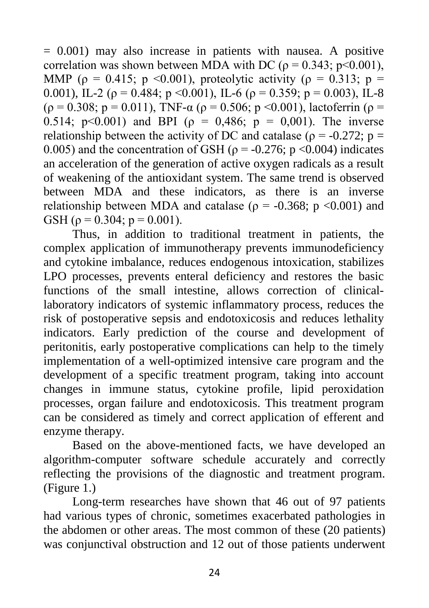$= 0.001$ ) may also increase in patients with nausea. A positive correlation was shown between MDA with DC ( $\rho = 0.343$ ; p<0.001), MMP ( $\rho = 0.415$ ; p < 0.001), proteolytic activity ( $\rho = 0.313$ ; p = 0.001), IL-2 ( $\rho = 0.484$ ; p < 0.001), IL-6 ( $\rho = 0.359$ ; p = 0.003), IL-8 ( $\rho = 0.308$ ; p = 0.011), TNF- $\alpha$  ( $\rho = 0.506$ ; p < 0.001), lactoferrin ( $\rho =$ 0.514; p<0.001) and BPI ( $\rho = 0.486$ ; p = 0,001). The inverse relationship between the activity of DC and catalase ( $\rho = -0.272$ ; p = 0.005) and the concentration of GSH ( $\rho = -0.276$ ; p <0.004) indicates an acceleration of the generation of active oxygen radicals as a result of weakening of the antioxidant system. The same trend is observed between MDA and these indicators, as there is an inverse relationship between MDA and catalase ( $\rho = -0.368$ ; p <0.001) and GSH ( $\rho = 0.304$ ;  $p = 0.001$ ).

Thus, in addition to traditional treatment in patients, the complex application of immunotherapy prevents immunodeficiency and cytokine imbalance, reduces endogenous intoxication, stabilizes LPO processes, prevents enteral deficiency and restores the basic functions of the small intestine, allows correction of clinicallaboratory indicators of systemic inflammatory process, reduces the risk of postoperative sepsis and endotoxicosis and reduces lethality indicators. Early prediction of the course and development of peritonitis, early postoperative complications can help to the timely implementation of a well-optimized intensive care program and the development of a specific treatment program, taking into account changes in immune status, cytokine profile, lipid peroxidation processes, organ failure and endotoxicosis. This treatment program can be considered as timely and correct application of efferent and enzyme therapy.

Based on the above-mentioned facts, we have developed an algorithm-computer software schedule accurately and correctly reflecting the provisions of the diagnostic and treatment program. (Figure 1.)

Long-term researches have shown that 46 out of 97 patients had various types of chronic, sometimes exacerbated pathologies in the abdomen or other areas. The most common of these (20 patients) was conjunctival obstruction and 12 out of those patients underwent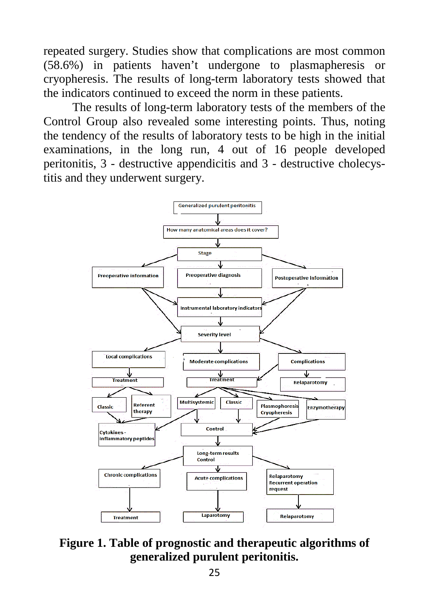repeated surgery. Studies show that complications are most common (58.6%) in patients haven't undergone to plasmapheresis or cryopheresis. The results of long-term laboratory tests showed that the indicators continued to exceed the norm in these patients.

The results of long-term laboratory tests of the members of the Control Group also revealed some interesting points. Thus, noting the tendency of the results of laboratory tests to be high in the initial examinations, in the long run, 4 out of 16 people developed peritonitis, 3 - destructive appendicitis and 3 - destructive cholecystitis and they underwent surgery.



**Figure 1. Table of prognostic and therapeutic algorithms of generalized purulent peritonitis.**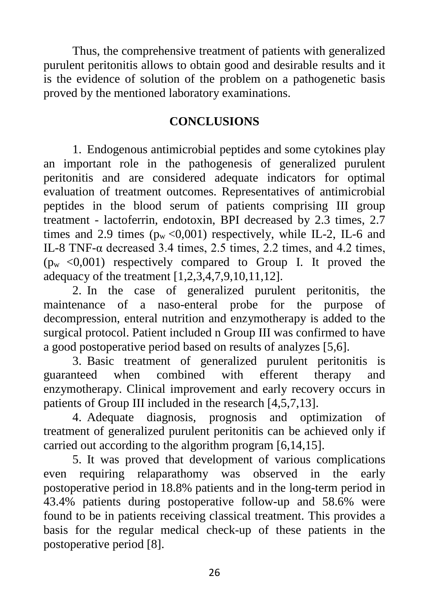Thus, the comprehensive treatment of patients with generalized purulent peritonitis allows to obtain good and desirable results and it is the evidence of solution of the problem on a pathogenetic basis proved by the mentioned laboratory examinations.

#### **CONCLUSIONS**

1. Endogenous antimicrobial peptides and some cytokines play an important role in the pathogenesis of generalized purulent peritonitis and are considered adequate indicators for optimal evaluation of treatment outcomes. Representatives of antimicrobial peptides in the blood serum of patients comprising III group treatment - lactoferrin, endotoxin, BPI decreased by 2.3 times, 2.7 times and 2.9 times  $(p_w < 0.001)$  respectively, while IL-2, IL-6 and IL-8 TNF- $\alpha$  decreased 3.4 times, 2.5 times, 2.2 times, and 4.2 times,  $(p_w < 0.001)$  respectively compared to Group I. It proved the adequacy of the treatment [1,2,3,4,7,9,10,11,12].

2. In the case of generalized purulent peritonitis, the maintenance of a naso-enteral probe for the purpose of decompression, enteral nutrition and enzymotherapy is added to the surgical protocol. Patient included n Group III was confirmed to have a good postoperative period based on results of analyzes [5,6].

3. Basic treatment of generalized purulent peritonitis is guaranteed when combined with efferent therapy and enzymotherapy. Clinical improvement and early recovery occurs in patients of Group III included in the research [4,5,7,13].

4. Adequate diagnosis, prognosis and optimization of treatment of generalized purulent peritonitis can be achieved only if carried out according to the algorithm program [6,14,15].

5. It was proved that development of various complications even requiring relaparathomy was observed in the early postoperative period in 18.8% patients and in the long-term period in 43.4% patients during postoperative follow-up and 58.6% were found to be in patients receiving classical treatment. This provides a basis for the regular medical check-up of these patients in the postoperative period [8].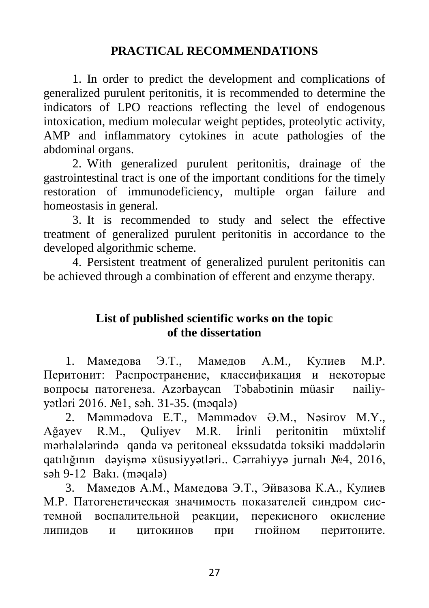## **PRACTICAL RECOMMENDATIONS**

1. In order to predict the development and complications of generalized purulent peritonitis, it is recommended to determine the indicators of LPO reactions reflecting the level of endogenous intoxication, medium molecular weight peptides, proteolytic activity, AMP and inflammatory cytokines in acute pathologies of the abdominal organs.

2. With generalized purulent peritonitis, drainage of the gastrointestinal tract is one of the important conditions for the timely restoration of immunodeficiency, multiple organ failure and homeostasis in general.

3. It is recommended to study and select the effective treatment of generalized purulent peritonitis in accordance to the developed algorithmic scheme.

4. Persistent treatment of generalized purulent peritonitis can be achieved through a combination of efferent and enzyme therapy.

# **List of published scientific works on the topic of the dissertation**

1. Мамедова Э.Т., Мамедов А.М., Кулиев М.Р. Перитонит: Распространение, классификация и некоторые вопросы патогенеза. Azərbaycan Təbabətinin müasir nailiyyətləri 2016. №1, səh. 31-35. (məqalə)

2. Məmmədova E.T., Məmmədov Ə.M., Nəsirov M.Y., Ağayev R.M., Quliyev M.R. İrinli peritonitin müxtəlif mərhələlərində qanda və peritoneal ekssudatda toksiki maddələrin qatılığının dəyişmə xüsusiyyətləri.. Cərrahiyyə jurnalı №4, 2016, səh 9-12 Bakı. (məqalə)

3. Мамедов А.М., Мамедова Э.Т., Эйвазова К.А., Кулиев М.Р. Патогенетическая значимость показателей синдром системной воспалительной реакции, перекисного окисление липидов и цитокинов при гнойном перитоните.

27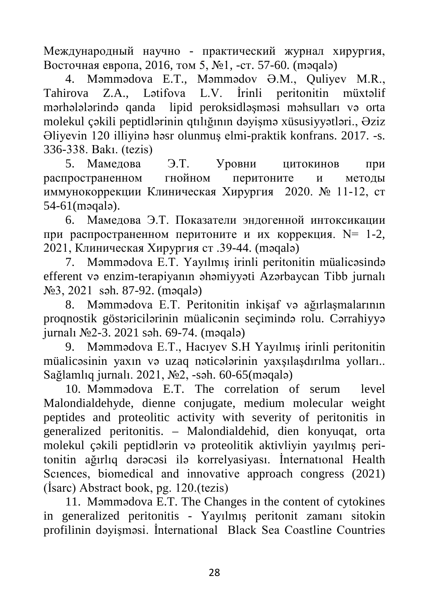Международный научно - практический журнал хирургия, Восточная европа, 2016, том 5, №1, -ст. 57-60. (məqalə)

4. Məmmədova E.T., Məmmədov Ə.M., Quliyev M.R., Tahirova Z.A., Lətifova L.V. İrinli peritonitin müxtəlif mərhələlərində qanda lipid peroksidləşməsi məhsulları və orta molekul çəkili peptidlərinin qtılığının dəyişmə xüsusiyyətləri., Əziz Əliyevin 120 illiyinə həsr olunmuş elmi-praktik konfrans. 2017. -s. 336-338. Bakı. (tezis)

5. Мамедова Э.Т. Уровни цитокинов при распространенном гнойном перитоните и методы иммунокоррекции Клиническая Хирургия 2020. № 11-12, ст 54-61(məqalə).

6. Мамедова Э.Т. Показатели эндогенной интоксикации при распространенном перитоните и их коррекция.  $N= 1-2$ , 2021, Клиническая Хирургия ст .39-44. (məqalə)

7. Məmmədova E.T. Yayılmış irinli peritonitin müalicəsində efferent və enzim-terapiyanın əhəmiyyəti Azərbaycan Tibb jurnalı №3, 2021 səh. 87-92. (məqalə)

8. Məmmədova E.T. Peritonitin inkişaf və ağırlaşmalarının proqnostik göstəricilərinin müalicənin seçimində rolu. Cərrahiyyə jurnalı №2-3. 2021 səh. 69-74. (məqalə)

9. Məmmədova E.T., Hacıyev S.H Yayılmış irinli peritonitin müalicəsinin yaxın və uzaq nəticələrinin yaxşılaşdırılma yolları.. Sağlamlıq jurnalı. 2021, №2, -səh. 60-65(məqalə)

10. Məmmədova E.T. The correlation of serum level Malondialdehyde, dienne conjugate, medium molecular weight peptides and proteolitic activity with severity of peritonitis in generalized peritonitis. – Malondialdehid, dien konyuqat, orta molekul çəkili peptidlərin və proteolitik aktivliyin yayılmış peritonitin ağırlıq dərəcəsi ilə korrelyasiyası. İnternatıonal Health Sciences, biomedical and innovative approach congress (2021) (İsarc) Abstract book, pg. 120.(tezis)

11. Məmmədova E.T. The Changes in the content of cytokines in generalized peritonitis - Yayılmış peritonit zamanı sitokin profilinin dəyişməsi. İnternational Black Sea Coastline Countries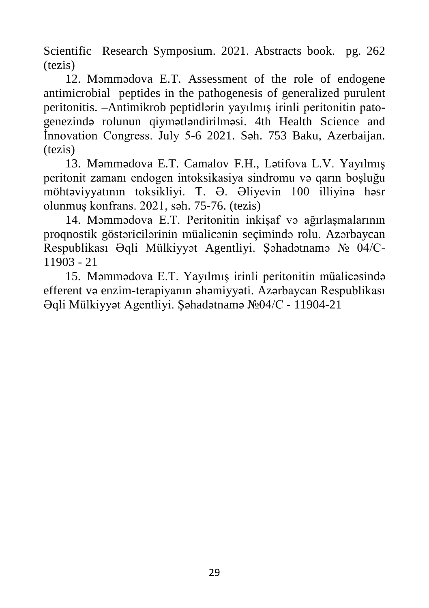Scientific Research Symposium. 2021. Abstracts book. pg. 262 (tezis)

12. Məmmədova E.T. Assessment of the role of endogene antimicrobial peptides in the pathogenesis of generalized purulent peritonitis. –Antimikrob peptidlərin yayılmış irinli peritonitin patogenezində rolunun qiymətləndirilməsi. 4th Health Science and İnnovation Congress. July 5-6 2021. Səh. 753 Baku, Azerbaijan. (tezis)

13. Məmmədova E.T. Camalov F.H., Lətifova L.V. Yayılmış peritonit zamanı endogen intoksikasiya sindromu və qarın boşluğu möhtəviyyatının toksikliyi. T. Ə. Əliyevin 100 illiyinə həsr olunmuş konfrans. 2021, səh. 75-76. (tezis)

14. Məmmədova E.T. Peritonitin inkişaf və ağırlaşmalarının proqnostik göstəricilərinin müalicənin seçimində rolu. Azərbaycan Respublikası Əqli Mülkiyyət Agentliyi. Şəhadətnamə № 04/С-11903 - 21

15. Məmmədova E.T. Yayılmış irinli peritonitin müalicəsində efferent və enzim-terapiyanın əhəmiyyəti. Azərbaycan Respublikası Əqli Mülkiyyət Agentliyi. Şəhadətnamə №04/С - 11904-21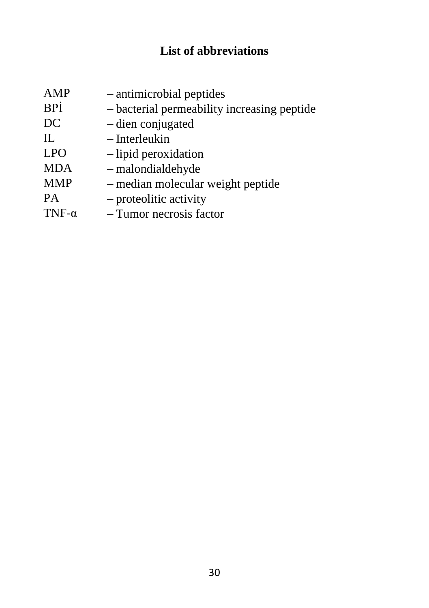# **List of abbreviations**

| AMP           | - antimicrobial peptides                    |
|---------------|---------------------------------------------|
| BPİ           | - bacterial permeability increasing peptide |
| DC            | - dien conjugated                           |
| IL            | - Interleukin                               |
| <b>LPO</b>    | $-$ lipid peroxidation                      |
| <b>MDA</b>    | $-$ malondialdehyde                         |
| <b>MMP</b>    | - median molecular weight peptide           |
| PA            | $-$ proteolitic activity                    |
| TNF- $\alpha$ | - Tumor necrosis factor                     |
|               |                                             |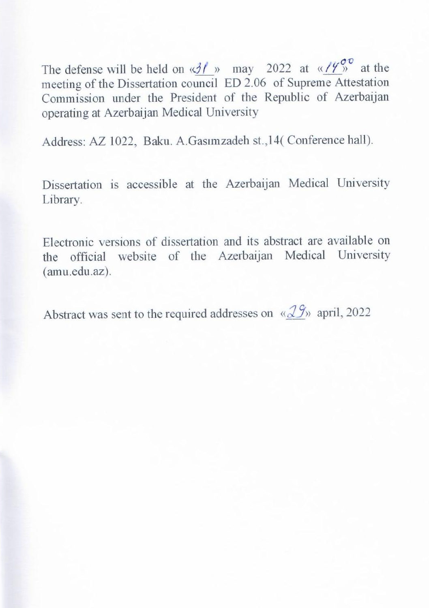The defense will be held on  $\langle \frac{\partial f}{\partial n} \rangle$  may 2022 at  $\langle \frac{\partial f}{\partial n} \rangle$  at the meeting of the Dissertation council ED 2.06 of Supreme Attestation Commission under the President of the Republic of Azerbaijan operating at Azerbaijan Medical University  $\mathcal{O}_P$  or  $\mathcal{O}_P$  and  $\mathcal{O}_P$ 

Address: AZ 1022, Baku. A.Gasımzadeh st., 14(Conference hall).

Dissertation is accessible at the Azerbaijan Medical University Library.

Electronic versions of dissertation and its abstract are available on the official website of the Azerbaijan Medical University (amu.edu.az).

Abstract was sent to the required addresses on « $2\frac{g}{v}$  april, 2022